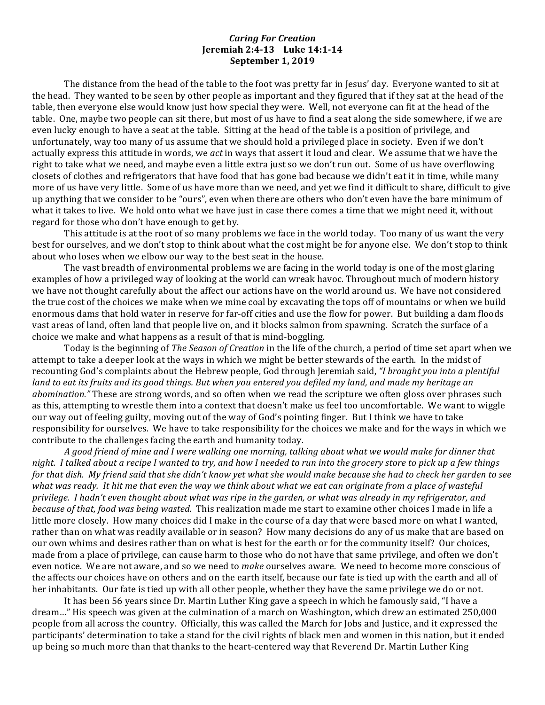## *Caring For Creation* **Ieremiah 2:4-13** Luke 14:1-14 **September 1, 2019**

The distance from the head of the table to the foot was pretty far in Jesus' day. Everyone wanted to sit at the head. They wanted to be seen by other people as important and they figured that if they sat at the head of the table, then everyone else would know just how special they were. Well, not everyone can fit at the head of the table. One, maybe two people can sit there, but most of us have to find a seat along the side somewhere, if we are even lucky enough to have a seat at the table. Sitting at the head of the table is a position of privilege, and unfortunately, way too many of us assume that we should hold a privileged place in society. Even if we don't actually express this attitude in words, we *act* in ways that assert it loud and clear. We assume that we have the right to take what we need, and maybe even a little extra just so we don't run out. Some of us have overflowing closets of clothes and refrigerators that have food that has gone bad because we didn't eat it in time, while many more of us have very little. Some of us have more than we need, and yet we find it difficult to share, difficult to give up anything that we consider to be "ours", even when there are others who don't even have the bare minimum of what it takes to live. We hold onto what we have just in case there comes a time that we might need it, without regard for those who don't have enough to get by.

This attitude is at the root of so many problems we face in the world today. Too many of us want the very best for ourselves, and we don't stop to think about what the cost might be for anyone else. We don't stop to think about who loses when we elbow our way to the best seat in the house.

The vast breadth of environmental problems we are facing in the world today is one of the most glaring examples of how a privileged way of looking at the world can wreak havoc. Throughout much of modern history we have not thought carefully about the affect our actions have on the world around us. We have not considered the true cost of the choices we make when we mine coal by excavating the tops off of mountains or when we build enormous dams that hold water in reserve for far-off cities and use the flow for power. But building a dam floods vast areas of land, often land that people live on, and it blocks salmon from spawning. Scratch the surface of a choice we make and what happens as a result of that is mind-boggling.

Today is the beginning of *The Season of Creation* in the life of the church, a period of time set apart when we attempt to take a deeper look at the ways in which we might be better stewards of the earth. In the midst of recounting God's complaints about the Hebrew people, God through Jeremiah said, *"I brought you into a plentiful land* to eat its fruits and its good things. But when you entered you defiled my land, and made my heritage an *abomination.*" These are strong words, and so often when we read the scripture we often gloss over phrases such as this, attempting to wrestle them into a context that doesn't make us feel too uncomfortable. We want to wiggle our way out of feeling guilty, moving out of the way of God's pointing finger. But I think we have to take responsibility for ourselves. We have to take responsibility for the choices we make and for the ways in which we contribute to the challenges facing the earth and humanity today.

A good friend of mine and I were walking one morning, talking about what we would make for dinner that *night.* I talked about a recipe I wanted to try, and how I needed to run into the grocery store to pick up a few things *for* that dish. My friend said that she didn't know yet what she would make because she had to check her garden to see *what* was ready. It hit me that even the way we think about what we eat can originate from a place of wasteful privilege. I hadn't even thought about what was ripe in the garden, or what was already in my refrigerator, and *because of that, food was being wasted.* This realization made me start to examine other choices I made in life a little more closely. How many choices did I make in the course of a day that were based more on what I wanted, rather than on what was readily available or in season? How many decisions do any of us make that are based on our own whims and desires rather than on what is best for the earth or for the community itself? Our choices, made from a place of privilege, can cause harm to those who do not have that same privilege, and often we don't even notice. We are not aware, and so we need to *make* ourselves aware. We need to become more conscious of the affects our choices have on others and on the earth itself, because our fate is tied up with the earth and all of her inhabitants. Our fate is tied up with all other people, whether they have the same privilege we do or not.

It has been 56 years since Dr. Martin Luther King gave a speech in which he famously said, "I have a dream..." His speech was given at the culmination of a march on Washington, which drew an estimated 250,000 people from all across the country. Officially, this was called the March for Jobs and Justice, and it expressed the participants' determination to take a stand for the civil rights of black men and women in this nation, but it ended up being so much more than that thanks to the heart-centered way that Reverend Dr. Martin Luther King